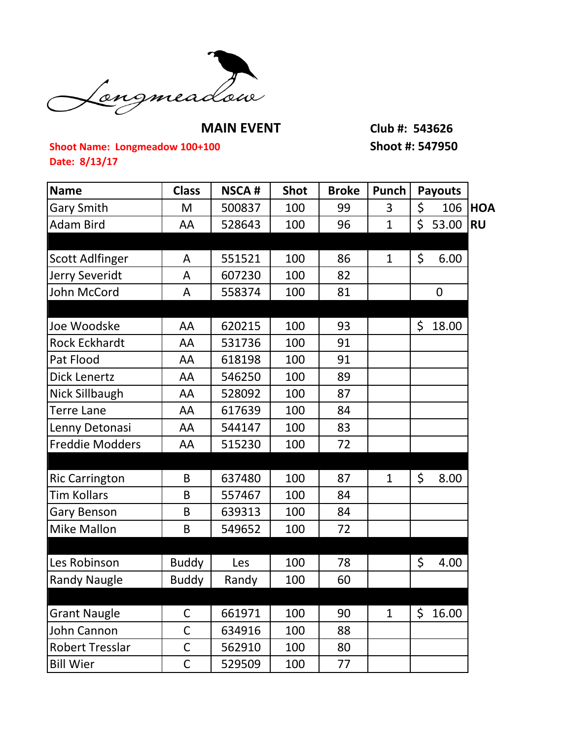

**MAIN EVENT Club #: 543626**

## **Shoot Name: Longmeadow 100+100 Shoot #: 547950 Date: 8/13/17**

| <b>Name</b>            | <b>Class</b> | <b>NSCA#</b> | <b>Shot</b> | <b>Broke</b> | <b>Punch</b> | <b>Payouts</b> |            |
|------------------------|--------------|--------------|-------------|--------------|--------------|----------------|------------|
| <b>Gary Smith</b>      | M            | 500837       | 100         | 99           | 3            | \$<br>106      | <b>HOA</b> |
| <b>Adam Bird</b>       | AA           | 528643       | 100         | 96           | $\mathbf{1}$ | \$<br>53.00    | <b>RU</b>  |
|                        |              |              |             |              |              |                |            |
| <b>Scott Adlfinger</b> | A            | 551521       | 100         | 86           | $\mathbf 1$  | \$<br>6.00     |            |
| Jerry Severidt         | A            | 607230       | 100         | 82           |              |                |            |
| <b>John McCord</b>     | A            | 558374       | 100         | 81           |              | $\mathbf 0$    |            |
|                        |              |              |             |              |              |                |            |
| Joe Woodske            | AA           | 620215       | 100         | 93           |              | \$<br>18.00    |            |
| <b>Rock Eckhardt</b>   | AA           | 531736       | 100         | 91           |              |                |            |
| Pat Flood              | AA           | 618198       | 100         | 91           |              |                |            |
| <b>Dick Lenertz</b>    | AA           | 546250       | 100         | 89           |              |                |            |
| Nick Sillbaugh         | AA           | 528092       | 100         | 87           |              |                |            |
| <b>Terre Lane</b>      | AA           | 617639       | 100         | 84           |              |                |            |
| Lenny Detonasi         | AA           | 544147       | 100         | 83           |              |                |            |
| <b>Freddie Modders</b> | AA           | 515230       | 100         | 72           |              |                |            |
|                        |              |              |             |              |              |                |            |
| <b>Ric Carrington</b>  | B            | 637480       | 100         | 87           | $\mathbf{1}$ | \$<br>8.00     |            |
| <b>Tim Kollars</b>     | B            | 557467       | 100         | 84           |              |                |            |
| Gary Benson            | B            | 639313       | 100         | 84           |              |                |            |
| <b>Mike Mallon</b>     | B            | 549652       | 100         | 72           |              |                |            |
|                        |              |              |             |              |              |                |            |
| Les Robinson           | <b>Buddy</b> | Les          | 100         | 78           |              | \$<br>4.00     |            |
| <b>Randy Naugle</b>    | <b>Buddy</b> | Randy        | 100         | 60           |              |                |            |
|                        |              |              |             |              |              |                |            |
| <b>Grant Naugle</b>    | C            | 661971       | 100         | 90           | 1            | \$<br>16.00    |            |
| John Cannon            | $\mathsf C$  | 634916       | 100         | 88           |              |                |            |
| <b>Robert Tresslar</b> | $\mathsf C$  | 562910       | 100         | 80           |              |                |            |
| <b>Bill Wier</b>       | $\mathsf C$  | 529509       | 100         | 77           |              |                |            |